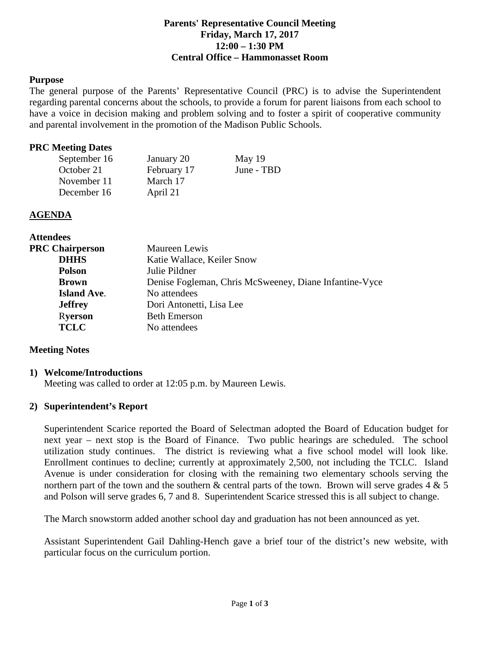## **Parents' Representative Council Meeting Friday, March 17, 2017 12:00 – 1:30 PM Central Office – Hammonasset Room**

## **Purpose**

The general purpose of the Parents' Representative Council (PRC) is to advise the Superintendent regarding parental concerns about the schools, to provide a forum for parent liaisons from each school to have a voice in decision making and problem solving and to foster a spirit of cooperative community and parental involvement in the promotion of the Madison Public Schools.

### **PRC Meeting Dates**

| September 16 | January 20  | May $19$   |
|--------------|-------------|------------|
| October 21   | February 17 | June - TBD |
| November 11  | March 17    |            |
| December 16  | April 21    |            |

## **AGENDA**

| <b>Attendees</b>       |                                                        |  |
|------------------------|--------------------------------------------------------|--|
| <b>PRC Chairperson</b> | Maureen Lewis                                          |  |
| <b>DHHS</b>            | Katie Wallace, Keiler Snow                             |  |
| <b>Polson</b>          | Julie Pildner                                          |  |
| <b>Brown</b>           | Denise Fogleman, Chris McSweeney, Diane Infantine-Vyce |  |
| <b>Island Ave.</b>     | No attendees                                           |  |
| <b>Jeffrey</b>         | Dori Antonetti, Lisa Lee                               |  |
| <b>Ryerson</b>         | <b>Beth Emerson</b>                                    |  |
| <b>TCLC</b>            | No attendees                                           |  |

## **Meeting Notes**

#### **1) Welcome/Introductions**

Meeting was called to order at 12:05 p.m. by Maureen Lewis.

## **2) Superintendent's Report**

Superintendent Scarice reported the Board of Selectman adopted the Board of Education budget for next year – next stop is the Board of Finance. Two public hearings are scheduled. The school utilization study continues. The district is reviewing what a five school model will look like. Enrollment continues to decline; currently at approximately 2,500, not including the TCLC. Island Avenue is under consideration for closing with the remaining two elementary schools serving the northern part of the town and the southern  $\&$  central parts of the town. Brown will serve grades 4  $\&$  5 and Polson will serve grades 6, 7 and 8. Superintendent Scarice stressed this is all subject to change.

The March snowstorm added another school day and graduation has not been announced as yet.

Assistant Superintendent Gail Dahling-Hench gave a brief tour of the district's new website, with particular focus on the curriculum portion.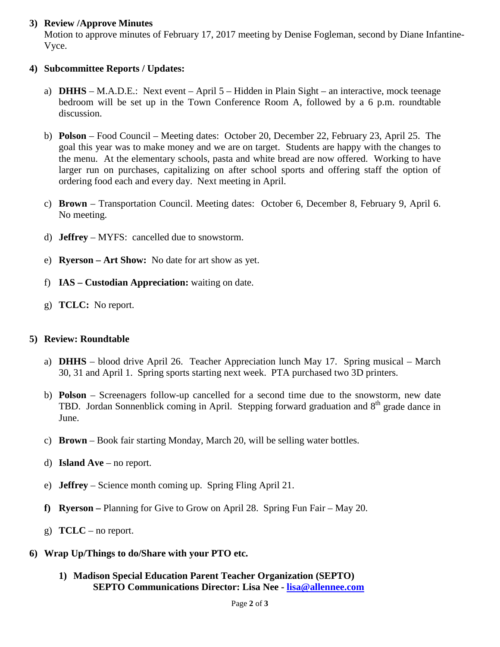# **3) Review /Approve Minutes**

Motion to approve minutes of February 17, 2017 meeting by Denise Fogleman, second by Diane Infantine-Vyce.

# **4) Subcommittee Reports / Updates:**

- a) **DHHS** M.A.D.E.: Next event April 5 Hidden in Plain Sight an interactive, mock teenage bedroom will be set up in the Town Conference Room A, followed by a 6 p.m. roundtable discussion.
- b) **Polson** Food Council Meeting dates: October 20, December 22, February 23, April 25. The goal this year was to make money and we are on target. Students are happy with the changes to the menu. At the elementary schools, pasta and white bread are now offered. Working to have larger run on purchases, capitalizing on after school sports and offering staff the option of ordering food each and every day. Next meeting in April.
- c) **Brown** Transportation Council. Meeting dates: October 6, December 8, February 9, April 6. No meeting.
- d) **Jeffrey** MYFS: cancelled due to snowstorm.
- e) **Ryerson – Art Show:** No date for art show as yet.
- f) **IAS – Custodian Appreciation:** waiting on date.
- g) **TCLC:** No report.

## **5) Review: Roundtable**

- a) **DHHS** blood drive April 26. Teacher Appreciation lunch May 17. Spring musical March 30, 31 and April 1. Spring sports starting next week. PTA purchased two 3D printers.
- b) **Polson** Screenagers follow-up cancelled for a second time due to the snowstorm, new date TBD. Jordan Sonnenblick coming in April. Stepping forward graduation and  $8<sup>th</sup>$  grade dance in June.
- c) **Brown** Book fair starting Monday, March 20, will be selling water bottles.
- d) **Island Ave**  no report.
- e) **Jeffrey** Science month coming up. Spring Fling April 21.
- **f) Ryerson –** Planning for Give to Grow on April 28. Spring Fun Fair May 20.
- g) **TCLC**  no report.
- **6) Wrap Up/Things to do/Share with your PTO etc.**
	- **1) Madison Special Education Parent Teacher Organization (SEPTO) SEPTO Communications Director: Lisa Nee - [lisa@allennee.com](mailto:lisa@allennee.com)**